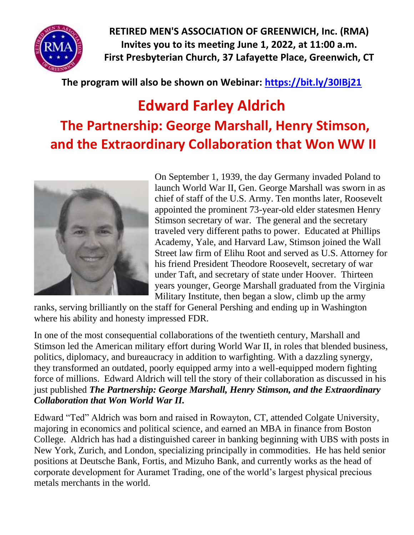

**RETIRED MEN'S ASSOCIATION OF GREENWICH, Inc. (RMA) Invites you to its meeting June 1, 2022, at 11:00 a.m. First Presbyterian Church, 37 Lafayette Place, Greenwich, CT**

## **The program will also be shown on Webinar:<https://bit.ly/30IBj21>**

## **Edward Farley Aldrich The Partnership: George Marshall, Henry Stimson, and the Extraordinary Collaboration that Won WW II**



On September 1, 1939, the day Germany invaded Poland to launch World War II, Gen. George Marshall was sworn in as chief of staff of the U.S. Army. Ten months later, Roosevelt appointed the prominent 73-year-old elder statesmen Henry Stimson secretary of war. The general and the secretary traveled very different paths to power. Educated at Phillips Academy, Yale, and Harvard Law, Stimson joined the Wall Street law firm of Elihu Root and served as U.S. Attorney for his friend President Theodore Roosevelt, secretary of war under Taft, and secretary of state under Hoover. Thirteen years younger, George Marshall graduated from the Virginia Military Institute, then began a slow, climb up the army

ranks, serving brilliantly on the staff for General Pershing and ending up in Washington where his ability and honesty impressed FDR.

In one of the most consequential collaborations of the twentieth century, Marshall and Stimson led the American military effort during World War II, in roles that blended business, politics, diplomacy, and bureaucracy in addition to warfighting. With a dazzling synergy, they transformed an outdated, poorly equipped army into a well-equipped modern fighting force of millions. Edward Aldrich will tell the story of their collaboration as discussed in his just published *The Partnership: George Marshall, Henry Stimson, and the Extraordinary Collaboration that Won World War II.*

Edward "Ted" Aldrich was born and raised in Rowayton, CT, attended Colgate University, majoring in economics and political science, and earned an MBA in finance from Boston College. Aldrich has had a distinguished career in banking beginning with UBS with posts in New York, Zurich, and London, specializing principally in commodities. He has held senior positions at Deutsche Bank, Fortis, and Mizuho Bank, and currently works as the head of corporate development for Auramet Trading, one of the world's largest physical precious metals merchants in the world.